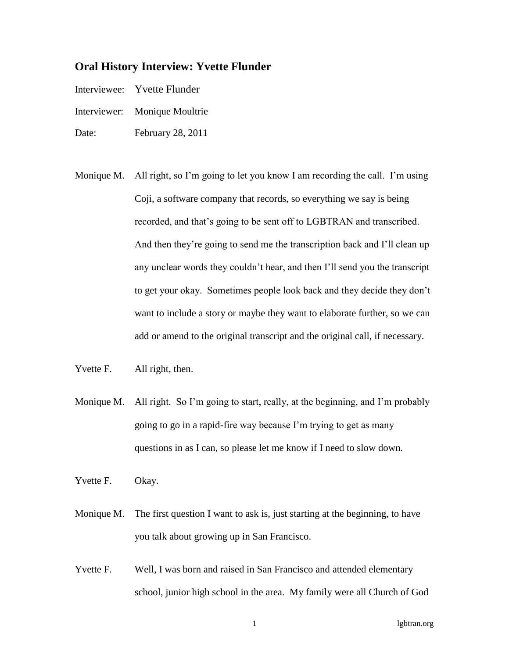## **Oral History Interview: Yvette Flunder**

- Interviewee: Yvette Flunder
- Interviewer: Monique Moultrie
- Date: February 28, 2011
- Monique M. All right, so I'm going to let you know I am recording the call. I'm using Coji, a software company that records, so everything we say is being recorded, and that's going to be sent off to LGBTRAN and transcribed. And then they're going to send me the transcription back and I'll clean up any unclear words they couldn't hear, and then I'll send you the transcript to get your okay. Sometimes people look back and they decide they don't want to include a story or maybe they want to elaborate further, so we can add or amend to the original transcript and the original call, if necessary.
- Yvette F. All right, then.
- Monique M. All right. So I'm going to start, really, at the beginning, and I'm probably going to go in a rapid-fire way because I'm trying to get as many questions in as I can, so please let me know if I need to slow down.
- Yvette F. Okay.
- Monique M. The first question I want to ask is, just starting at the beginning, to have you talk about growing up in San Francisco.
- Yvette F. Well, I was born and raised in San Francisco and attended elementary school, junior high school in the area. My family were all Church of God

1 lgbtran.org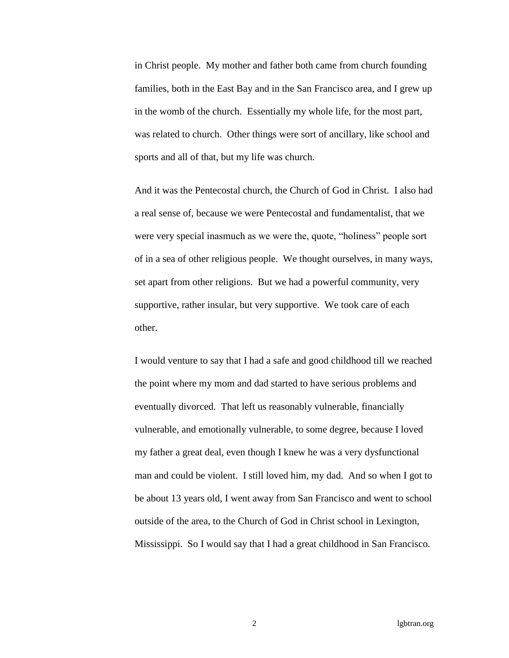in Christ people. My mother and father both came from church founding families, both in the East Bay and in the San Francisco area, and I grew up in the womb of the church. Essentially my whole life, for the most part, was related to church. Other things were sort of ancillary, like school and sports and all of that, but my life was church.

And it was the Pentecostal church, the Church of God in Christ. I also had a real sense of, because we were Pentecostal and fundamentalist, that we were very special inasmuch as we were the, quote, "holiness" people sort of in a sea of other religious people. We thought ourselves, in many ways, set apart from other religions. But we had a powerful community, very supportive, rather insular, but very supportive. We took care of each other.

I would venture to say that I had a safe and good childhood till we reached the point where my mom and dad started to have serious problems and eventually divorced. That left us reasonably vulnerable, financially vulnerable, and emotionally vulnerable, to some degree, because I loved my father a great deal, even though I knew he was a very dysfunctional man and could be violent. I still loved him, my dad. And so when I got to be about 13 years old, I went away from San Francisco and went to school outside of the area, to the Church of God in Christ school in Lexington, Mississippi. So I would say that I had a great childhood in San Francisco.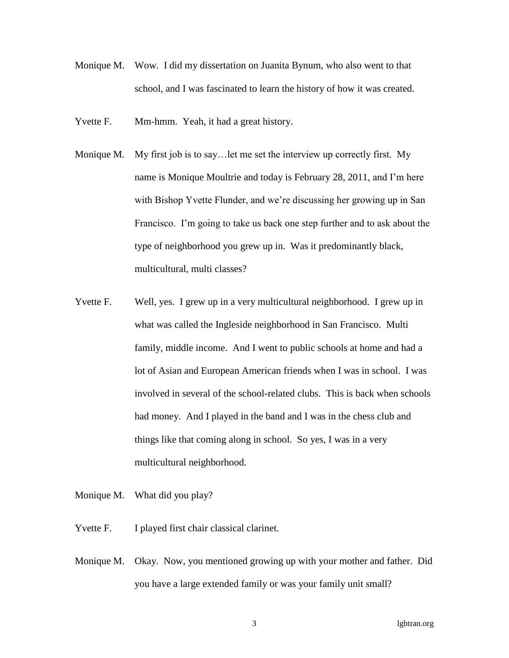- Monique M. Wow. I did my dissertation on Juanita Bynum, who also went to that school, and I was fascinated to learn the history of how it was created.
- Yvette F. Mm-hmm. Yeah, it had a great history.
- Monique M. My first job is to say... let me set the interview up correctly first. My name is Monique Moultrie and today is February 28, 2011, and I'm here with Bishop Yvette Flunder, and we're discussing her growing up in San Francisco. I'm going to take us back one step further and to ask about the type of neighborhood you grew up in. Was it predominantly black, multicultural, multi classes?
- Yvette F. Well, yes. I grew up in a very multicultural neighborhood. I grew up in what was called the Ingleside neighborhood in San Francisco. Multi family, middle income. And I went to public schools at home and had a lot of Asian and European American friends when I was in school. I was involved in several of the school-related clubs. This is back when schools had money. And I played in the band and I was in the chess club and things like that coming along in school. So yes, I was in a very multicultural neighborhood.
- Monique M. What did you play?
- Yvette F. I played first chair classical clarinet.
- Monique M. Okay. Now, you mentioned growing up with your mother and father. Did you have a large extended family or was your family unit small?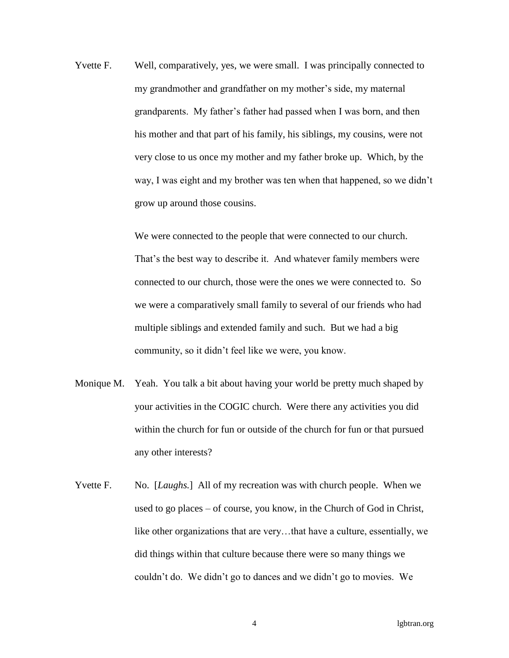Yvette F. Well, comparatively, yes, we were small. I was principally connected to my grandmother and grandfather on my mother's side, my maternal grandparents. My father's father had passed when I was born, and then his mother and that part of his family, his siblings, my cousins, were not very close to us once my mother and my father broke up. Which, by the way, I was eight and my brother was ten when that happened, so we didn't grow up around those cousins.

> We were connected to the people that were connected to our church. That's the best way to describe it. And whatever family members were connected to our church, those were the ones we were connected to. So we were a comparatively small family to several of our friends who had multiple siblings and extended family and such. But we had a big community, so it didn't feel like we were, you know.

- Monique M. Yeah. You talk a bit about having your world be pretty much shaped by your activities in the COGIC church. Were there any activities you did within the church for fun or outside of the church for fun or that pursued any other interests?
- Yvette F. No. [*Laughs*.] All of my recreation was with church people. When we used to go places – of course, you know, in the Church of God in Christ, like other organizations that are very…that have a culture, essentially, we did things within that culture because there were so many things we couldn't do. We didn't go to dances and we didn't go to movies. We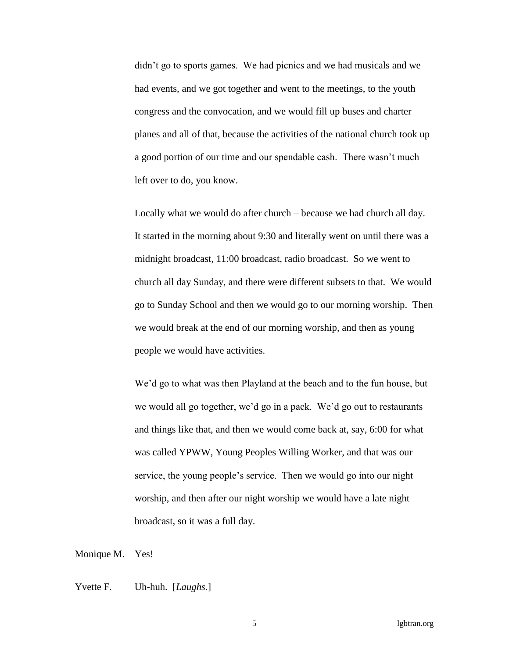didn't go to sports games. We had picnics and we had musicals and we had events, and we got together and went to the meetings, to the youth congress and the convocation, and we would fill up buses and charter planes and all of that, because the activities of the national church took up a good portion of our time and our spendable cash. There wasn't much left over to do, you know.

Locally what we would do after church – because we had church all day. It started in the morning about 9:30 and literally went on until there was a midnight broadcast, 11:00 broadcast, radio broadcast. So we went to church all day Sunday, and there were different subsets to that. We would go to Sunday School and then we would go to our morning worship. Then we would break at the end of our morning worship, and then as young people we would have activities.

We'd go to what was then Playland at the beach and to the fun house, but we would all go together, we'd go in a pack. We'd go out to restaurants and things like that, and then we would come back at, say, 6:00 for what was called YPWW, Young Peoples Willing Worker, and that was our service, the young people's service. Then we would go into our night worship, and then after our night worship we would have a late night broadcast, so it was a full day.

Monique M. Yes!

Yvette F. Uh-huh. [*Laughs*.]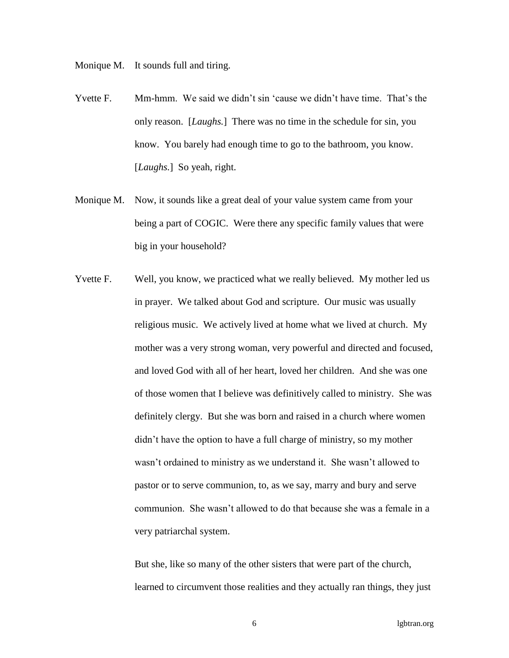Monique M. It sounds full and tiring.

- Yvette F. Mm-hmm. We said we didn't sin 'cause we didn't have time. That's the only reason. [*Laughs.*] There was no time in the schedule for sin, you know. You barely had enough time to go to the bathroom, you know. [*Laughs.*] So yeah, right.
- Monique M. Now, it sounds like a great deal of your value system came from your being a part of COGIC. Were there any specific family values that were big in your household?
- Yvette F. Well, you know, we practiced what we really believed. My mother led us in prayer. We talked about God and scripture. Our music was usually religious music. We actively lived at home what we lived at church. My mother was a very strong woman, very powerful and directed and focused, and loved God with all of her heart, loved her children. And she was one of those women that I believe was definitively called to ministry. She was definitely clergy. But she was born and raised in a church where women didn't have the option to have a full charge of ministry, so my mother wasn't ordained to ministry as we understand it. She wasn't allowed to pastor or to serve communion, to, as we say, marry and bury and serve communion. She wasn't allowed to do that because she was a female in a very patriarchal system.

But she, like so many of the other sisters that were part of the church, learned to circumvent those realities and they actually ran things, they just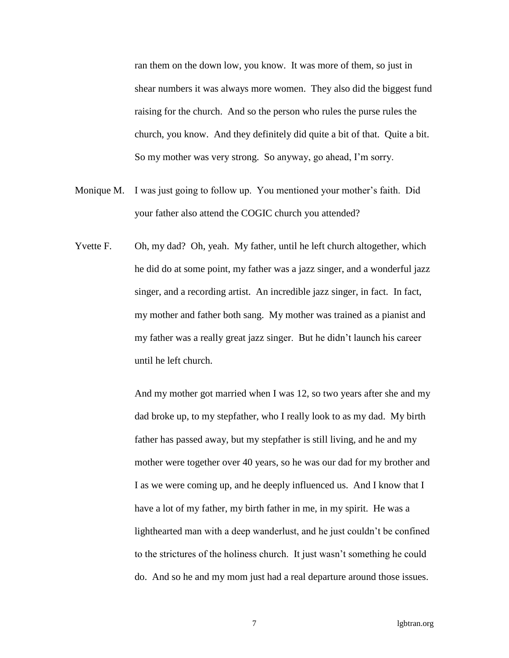ran them on the down low, you know. It was more of them, so just in shear numbers it was always more women. They also did the biggest fund raising for the church. And so the person who rules the purse rules the church, you know. And they definitely did quite a bit of that. Quite a bit. So my mother was very strong. So anyway, go ahead, I'm sorry.

- Monique M. I was just going to follow up. You mentioned your mother's faith. Did your father also attend the COGIC church you attended?
- Yvette F. Oh, my dad? Oh, yeah. My father, until he left church altogether, which he did do at some point, my father was a jazz singer, and a wonderful jazz singer, and a recording artist. An incredible jazz singer, in fact. In fact, my mother and father both sang. My mother was trained as a pianist and my father was a really great jazz singer. But he didn't launch his career until he left church.

And my mother got married when I was 12, so two years after she and my dad broke up, to my stepfather, who I really look to as my dad. My birth father has passed away, but my stepfather is still living, and he and my mother were together over 40 years, so he was our dad for my brother and I as we were coming up, and he deeply influenced us. And I know that I have a lot of my father, my birth father in me, in my spirit. He was a lighthearted man with a deep wanderlust, and he just couldn't be confined to the strictures of the holiness church. It just wasn't something he could do. And so he and my mom just had a real departure around those issues.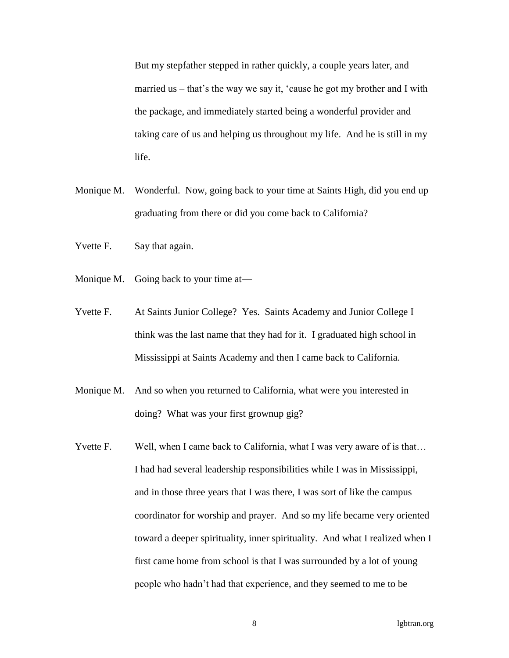But my stepfather stepped in rather quickly, a couple years later, and married us – that's the way we say it, 'cause he got my brother and I with the package, and immediately started being a wonderful provider and taking care of us and helping us throughout my life. And he is still in my life.

- Monique M. Wonderful. Now, going back to your time at Saints High, did you end up graduating from there or did you come back to California?
- Yvette F. Say that again.
- Monique M. Going back to your time at—
- Yvette F. At Saints Junior College? Yes. Saints Academy and Junior College I think was the last name that they had for it. I graduated high school in Mississippi at Saints Academy and then I came back to California.
- Monique M. And so when you returned to California, what were you interested in doing? What was your first grownup gig?
- Yvette F. Well, when I came back to California, what I was very aware of is that... I had had several leadership responsibilities while I was in Mississippi, and in those three years that I was there, I was sort of like the campus coordinator for worship and prayer. And so my life became very oriented toward a deeper spirituality, inner spirituality. And what I realized when I first came home from school is that I was surrounded by a lot of young people who hadn't had that experience, and they seemed to me to be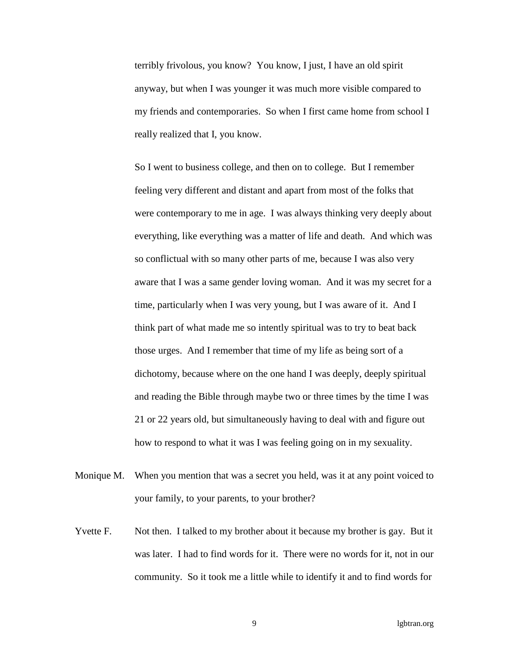terribly frivolous, you know? You know, I just, I have an old spirit anyway, but when I was younger it was much more visible compared to my friends and contemporaries. So when I first came home from school I really realized that I, you know.

So I went to business college, and then on to college. But I remember feeling very different and distant and apart from most of the folks that were contemporary to me in age. I was always thinking very deeply about everything, like everything was a matter of life and death. And which was so conflictual with so many other parts of me, because I was also very aware that I was a same gender loving woman. And it was my secret for a time, particularly when I was very young, but I was aware of it. And I think part of what made me so intently spiritual was to try to beat back those urges. And I remember that time of my life as being sort of a dichotomy, because where on the one hand I was deeply, deeply spiritual and reading the Bible through maybe two or three times by the time I was 21 or 22 years old, but simultaneously having to deal with and figure out how to respond to what it was I was feeling going on in my sexuality.

- Monique M. When you mention that was a secret you held, was it at any point voiced to your family, to your parents, to your brother?
- Yvette F. Not then. I talked to my brother about it because my brother is gay. But it was later. I had to find words for it. There were no words for it, not in our community. So it took me a little while to identify it and to find words for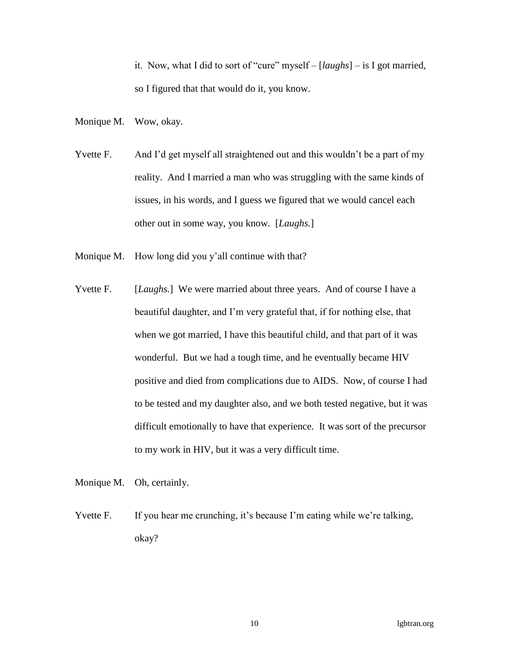it. Now, what I did to sort of "cure" myself – [*laughs*] – is I got married, so I figured that that would do it, you know.

Monique M. Wow, okay.

- Yvette F. And I'd get myself all straightened out and this wouldn't be a part of my reality. And I married a man who was struggling with the same kinds of issues, in his words, and I guess we figured that we would cancel each other out in some way, you know. [*Laughs.*]
- Monique M. How long did you y'all continue with that?
- Yvette F. [*Laughs*.] We were married about three years. And of course I have a beautiful daughter, and I'm very grateful that, if for nothing else, that when we got married, I have this beautiful child, and that part of it was wonderful. But we had a tough time, and he eventually became HIV positive and died from complications due to AIDS. Now, of course I had to be tested and my daughter also, and we both tested negative, but it was difficult emotionally to have that experience. It was sort of the precursor to my work in HIV, but it was a very difficult time.

Monique M. Oh, certainly.

Yvette F. If you hear me crunching, it's because I'm eating while we're talking, okay?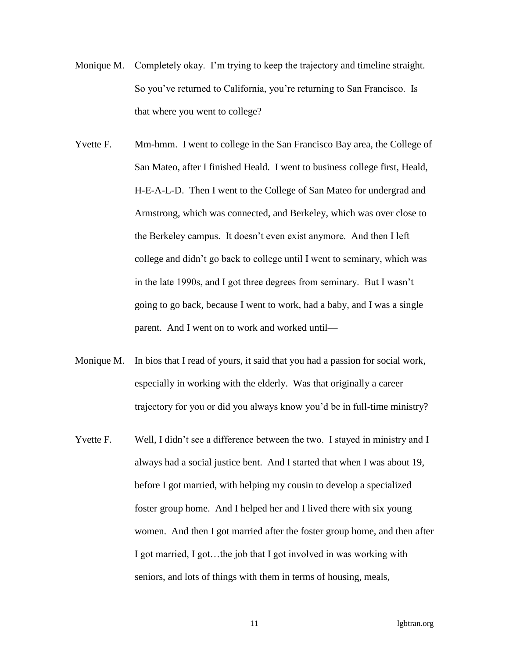- Monique M. Completely okay. I'm trying to keep the trajectory and timeline straight. So you've returned to California, you're returning to San Francisco. Is that where you went to college?
- Yvette F. Mm-hmm. I went to college in the San Francisco Bay area, the College of San Mateo, after I finished Heald. I went to business college first, Heald, H-E-A-L-D. Then I went to the College of San Mateo for undergrad and Armstrong, which was connected, and Berkeley, which was over close to the Berkeley campus. It doesn't even exist anymore. And then I left college and didn't go back to college until I went to seminary, which was in the late 1990s, and I got three degrees from seminary. But I wasn't going to go back, because I went to work, had a baby, and I was a single parent. And I went on to work and worked until—
- Monique M. In bios that I read of yours, it said that you had a passion for social work, especially in working with the elderly. Was that originally a career trajectory for you or did you always know you'd be in full-time ministry?
- Yvette F. Well, I didn't see a difference between the two. I stayed in ministry and I always had a social justice bent. And I started that when I was about 19, before I got married, with helping my cousin to develop a specialized foster group home. And I helped her and I lived there with six young women. And then I got married after the foster group home, and then after I got married, I got…the job that I got involved in was working with seniors, and lots of things with them in terms of housing, meals,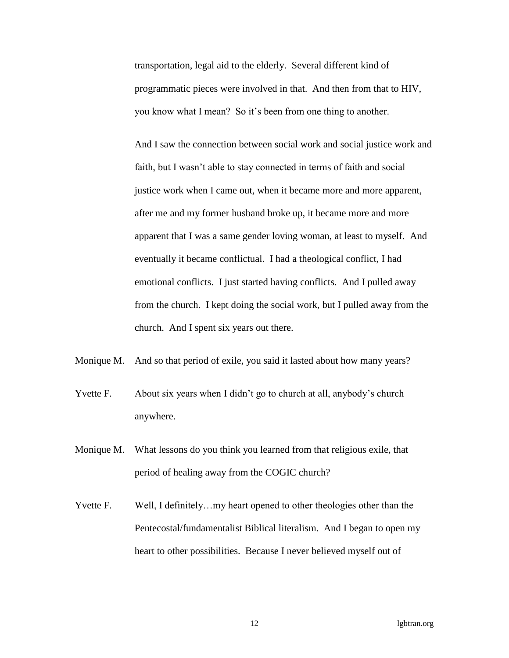transportation, legal aid to the elderly. Several different kind of programmatic pieces were involved in that. And then from that to HIV, you know what I mean? So it's been from one thing to another.

And I saw the connection between social work and social justice work and faith, but I wasn't able to stay connected in terms of faith and social justice work when I came out, when it became more and more apparent, after me and my former husband broke up, it became more and more apparent that I was a same gender loving woman, at least to myself. And eventually it became conflictual. I had a theological conflict, I had emotional conflicts. I just started having conflicts. And I pulled away from the church. I kept doing the social work, but I pulled away from the church. And I spent six years out there.

- Monique M. And so that period of exile, you said it lasted about how many years?
- Yvette F. About six years when I didn't go to church at all, anybody's church anywhere.
- Monique M. What lessons do you think you learned from that religious exile, that period of healing away from the COGIC church?
- Yvette F. Well, I definitely...my heart opened to other theologies other than the Pentecostal/fundamentalist Biblical literalism. And I began to open my heart to other possibilities. Because I never believed myself out of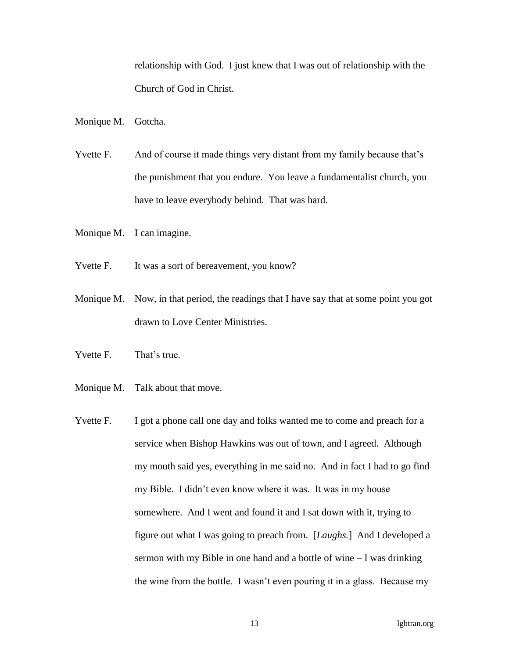relationship with God. I just knew that I was out of relationship with the Church of God in Christ.

Monique M. Gotcha.

Yvette F. And of course it made things very distant from my family because that's the punishment that you endure. You leave a fundamentalist church, you have to leave everybody behind. That was hard.

- Monique M. I can imagine.
- Yvette F. It was a sort of bereavement, you know?
- Monique M. Now, in that period, the readings that I have say that at some point you got drawn to Love Center Ministries.
- Yvette F. That's true.
- Monique M. Talk about that move.
- Yvette F. I got a phone call one day and folks wanted me to come and preach for a service when Bishop Hawkins was out of town, and I agreed. Although my mouth said yes, everything in me said no. And in fact I had to go find my Bible. I didn't even know where it was. It was in my house somewhere. And I went and found it and I sat down with it, trying to figure out what I was going to preach from. [*Laughs.*] And I developed a sermon with my Bible in one hand and a bottle of wine – I was drinking the wine from the bottle. I wasn't even pouring it in a glass. Because my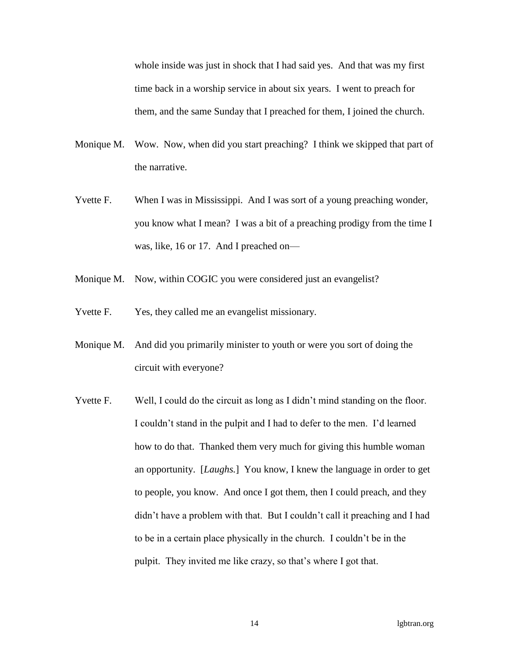whole inside was just in shock that I had said yes. And that was my first time back in a worship service in about six years. I went to preach for them, and the same Sunday that I preached for them, I joined the church.

- Monique M. Wow. Now, when did you start preaching? I think we skipped that part of the narrative.
- Yvette F. When I was in Mississippi. And I was sort of a young preaching wonder, you know what I mean? I was a bit of a preaching prodigy from the time I was, like, 16 or 17. And I preached on—
- Monique M. Now, within COGIC you were considered just an evangelist?
- Yvette F. Yes, they called me an evangelist missionary.
- Monique M. And did you primarily minister to youth or were you sort of doing the circuit with everyone?
- Yvette F. Well, I could do the circuit as long as I didn't mind standing on the floor. I couldn't stand in the pulpit and I had to defer to the men. I'd learned how to do that. Thanked them very much for giving this humble woman an opportunity. [*Laughs.*] You know, I knew the language in order to get to people, you know. And once I got them, then I could preach, and they didn't have a problem with that. But I couldn't call it preaching and I had to be in a certain place physically in the church. I couldn't be in the pulpit. They invited me like crazy, so that's where I got that.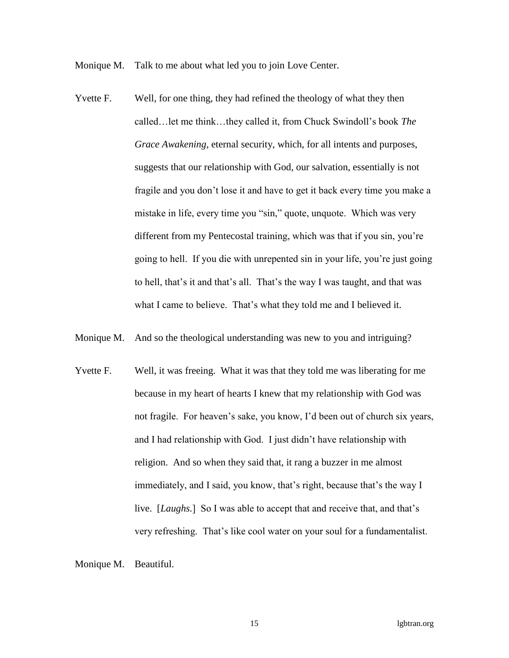Monique M. Talk to me about what led you to join Love Center.

- Yvette F. Well, for one thing, they had refined the theology of what they then called…let me think…they called it, from Chuck Swindoll's book *The Grace Awakening*, eternal security, which, for all intents and purposes, suggests that our relationship with God, our salvation, essentially is not fragile and you don't lose it and have to get it back every time you make a mistake in life, every time you "sin," quote, unquote. Which was very different from my Pentecostal training, which was that if you sin, you're going to hell. If you die with unrepented sin in your life, you're just going to hell, that's it and that's all. That's the way I was taught, and that was what I came to believe. That's what they told me and I believed it.
- Monique M. And so the theological understanding was new to you and intriguing?
- Yvette F. Well, it was freeing. What it was that they told me was liberating for me because in my heart of hearts I knew that my relationship with God was not fragile. For heaven's sake, you know, I'd been out of church six years, and I had relationship with God. I just didn't have relationship with religion. And so when they said that, it rang a buzzer in me almost immediately, and I said, you know, that's right, because that's the way I live. [*Laughs.*] So I was able to accept that and receive that, and that's very refreshing. That's like cool water on your soul for a fundamentalist.

Monique M. Beautiful.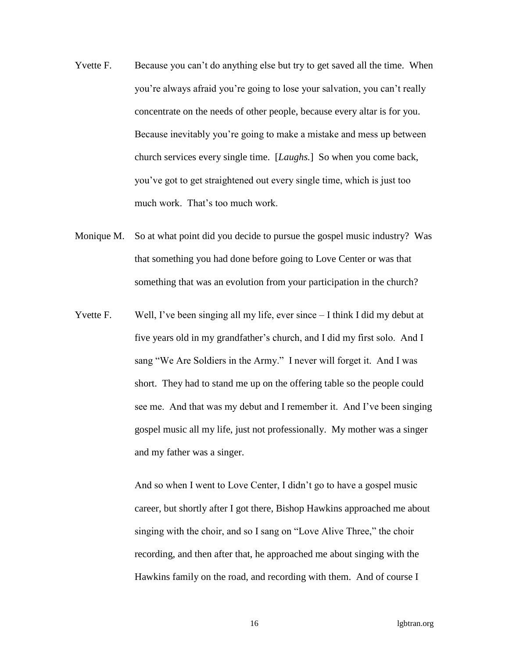- Yvette F. Because you can't do anything else but try to get saved all the time. When you're always afraid you're going to lose your salvation, you can't really concentrate on the needs of other people, because every altar is for you. Because inevitably you're going to make a mistake and mess up between church services every single time. [*Laughs.*] So when you come back, you've got to get straightened out every single time, which is just too much work. That's too much work.
- Monique M. So at what point did you decide to pursue the gospel music industry? Was that something you had done before going to Love Center or was that something that was an evolution from your participation in the church?
- Yvette F. Well, I've been singing all my life, ever since I think I did my debut at five years old in my grandfather's church, and I did my first solo. And I sang "We Are Soldiers in the Army." I never will forget it. And I was short. They had to stand me up on the offering table so the people could see me. And that was my debut and I remember it. And I've been singing gospel music all my life, just not professionally. My mother was a singer and my father was a singer.

And so when I went to Love Center, I didn't go to have a gospel music career, but shortly after I got there, Bishop Hawkins approached me about singing with the choir, and so I sang on "Love Alive Three," the choir recording, and then after that, he approached me about singing with the Hawkins family on the road, and recording with them. And of course I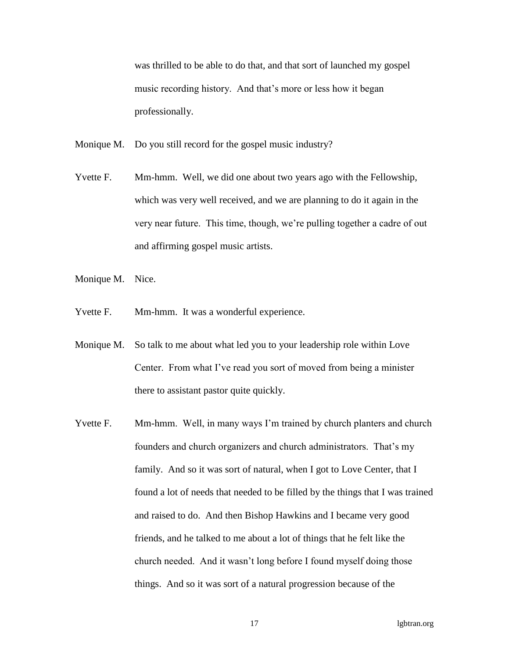was thrilled to be able to do that, and that sort of launched my gospel music recording history. And that's more or less how it began professionally.

- Monique M. Do you still record for the gospel music industry?
- Yvette F. Mm-hmm. Well, we did one about two years ago with the Fellowship, which was very well received, and we are planning to do it again in the very near future. This time, though, we're pulling together a cadre of out and affirming gospel music artists.
- Monique M. Nice.
- Yvette F. Mm-hmm. It was a wonderful experience.
- Monique M. So talk to me about what led you to your leadership role within Love Center. From what I've read you sort of moved from being a minister there to assistant pastor quite quickly.
- Yvette F. Mm-hmm. Well, in many ways I'm trained by church planters and church founders and church organizers and church administrators. That's my family. And so it was sort of natural, when I got to Love Center, that I found a lot of needs that needed to be filled by the things that I was trained and raised to do. And then Bishop Hawkins and I became very good friends, and he talked to me about a lot of things that he felt like the church needed. And it wasn't long before I found myself doing those things. And so it was sort of a natural progression because of the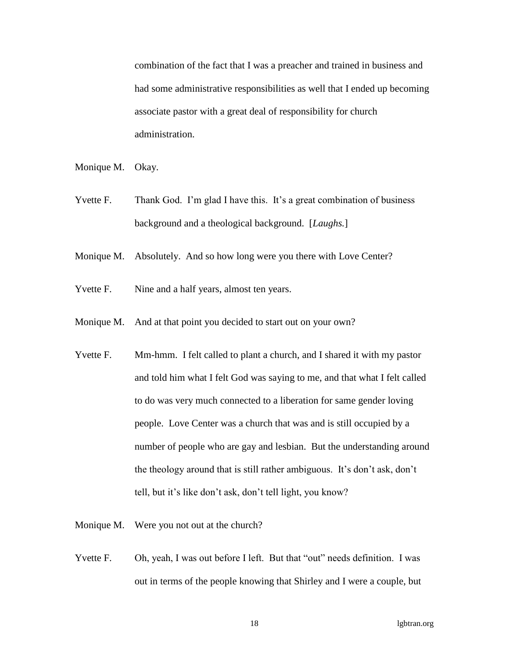combination of the fact that I was a preacher and trained in business and had some administrative responsibilities as well that I ended up becoming associate pastor with a great deal of responsibility for church administration.

- Monique M. Okay.
- Yvette F. Thank God. I'm glad I have this. It's a great combination of business background and a theological background. [*Laughs.*]
- Monique M. Absolutely. And so how long were you there with Love Center?
- Yvette F. Nine and a half years, almost ten years.
- Monique M. And at that point you decided to start out on your own?
- Yvette F. Mm-hmm. I felt called to plant a church, and I shared it with my pastor and told him what I felt God was saying to me, and that what I felt called to do was very much connected to a liberation for same gender loving people. Love Center was a church that was and is still occupied by a number of people who are gay and lesbian. But the understanding around the theology around that is still rather ambiguous. It's don't ask, don't tell, but it's like don't ask, don't tell light, you know?
- Monique M. Were you not out at the church?
- Yvette F. Oh, yeah, I was out before I left. But that "out" needs definition. I was out in terms of the people knowing that Shirley and I were a couple, but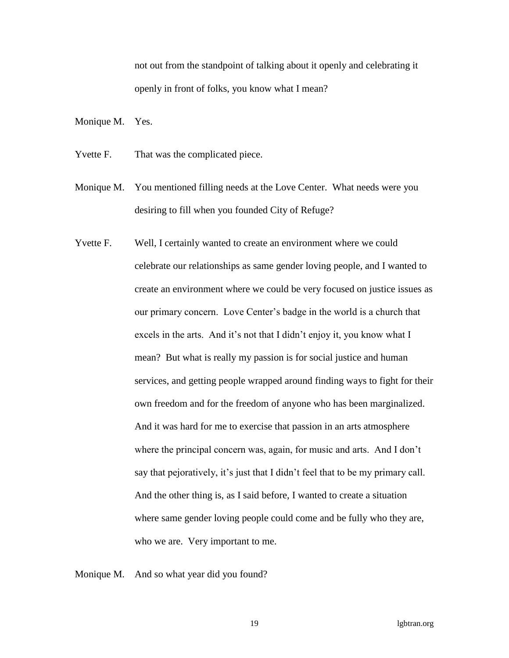not out from the standpoint of talking about it openly and celebrating it openly in front of folks, you know what I mean?

Monique M. Yes.

- Yvette F. That was the complicated piece.
- Monique M. You mentioned filling needs at the Love Center. What needs were you desiring to fill when you founded City of Refuge?
- Yvette F. Well, I certainly wanted to create an environment where we could celebrate our relationships as same gender loving people, and I wanted to create an environment where we could be very focused on justice issues as our primary concern. Love Center's badge in the world is a church that excels in the arts. And it's not that I didn't enjoy it, you know what I mean? But what is really my passion is for social justice and human services, and getting people wrapped around finding ways to fight for their own freedom and for the freedom of anyone who has been marginalized. And it was hard for me to exercise that passion in an arts atmosphere where the principal concern was, again, for music and arts. And I don't say that pejoratively, it's just that I didn't feel that to be my primary call. And the other thing is, as I said before, I wanted to create a situation where same gender loving people could come and be fully who they are, who we are. Very important to me.

Monique M. And so what year did you found?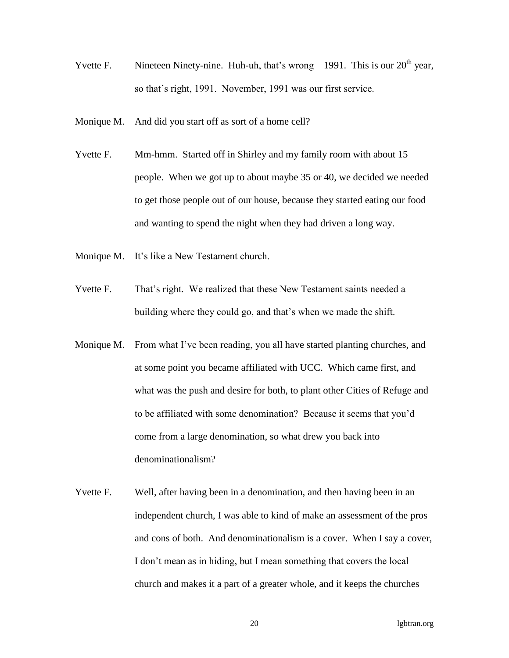- Yvette F. Nineteen Ninety-nine. Huh-uh, that's wrong  $-1991$ . This is our  $20<sup>th</sup>$  year, so that's right, 1991. November, 1991 was our first service.
- Monique M. And did you start off as sort of a home cell?
- Yvette F. Mm-hmm. Started off in Shirley and my family room with about 15 people. When we got up to about maybe 35 or 40, we decided we needed to get those people out of our house, because they started eating our food and wanting to spend the night when they had driven a long way.
- Monique M. It's like a New Testament church.
- Yvette F. That's right. We realized that these New Testament saints needed a building where they could go, and that's when we made the shift.
- Monique M. From what I've been reading, you all have started planting churches, and at some point you became affiliated with UCC. Which came first, and what was the push and desire for both, to plant other Cities of Refuge and to be affiliated with some denomination? Because it seems that you'd come from a large denomination, so what drew you back into denominationalism?
- Yvette F. Well, after having been in a denomination, and then having been in an independent church, I was able to kind of make an assessment of the pros and cons of both. And denominationalism is a cover. When I say a cover, I don't mean as in hiding, but I mean something that covers the local church and makes it a part of a greater whole, and it keeps the churches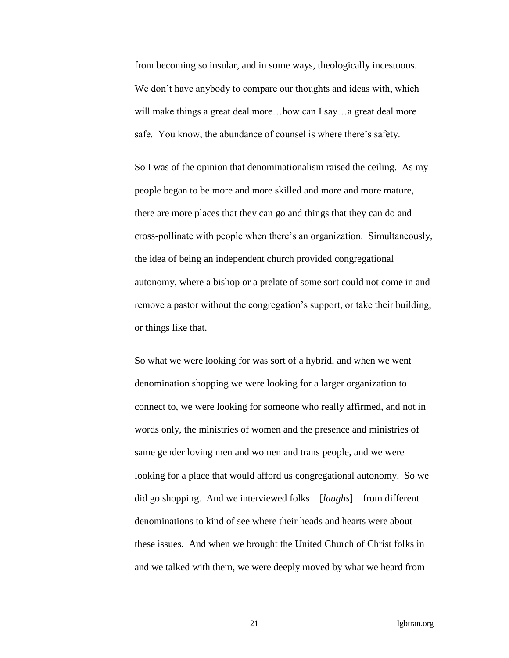from becoming so insular, and in some ways, theologically incestuous. We don't have anybody to compare our thoughts and ideas with, which will make things a great deal more...how can I say...a great deal more safe. You know, the abundance of counsel is where there's safety.

So I was of the opinion that denominationalism raised the ceiling. As my people began to be more and more skilled and more and more mature, there are more places that they can go and things that they can do and cross-pollinate with people when there's an organization. Simultaneously, the idea of being an independent church provided congregational autonomy, where a bishop or a prelate of some sort could not come in and remove a pastor without the congregation's support, or take their building, or things like that.

So what we were looking for was sort of a hybrid, and when we went denomination shopping we were looking for a larger organization to connect to, we were looking for someone who really affirmed, and not in words only, the ministries of women and the presence and ministries of same gender loving men and women and trans people, and we were looking for a place that would afford us congregational autonomy. So we did go shopping. And we interviewed folks – [*laughs*] – from different denominations to kind of see where their heads and hearts were about these issues. And when we brought the United Church of Christ folks in and we talked with them, we were deeply moved by what we heard from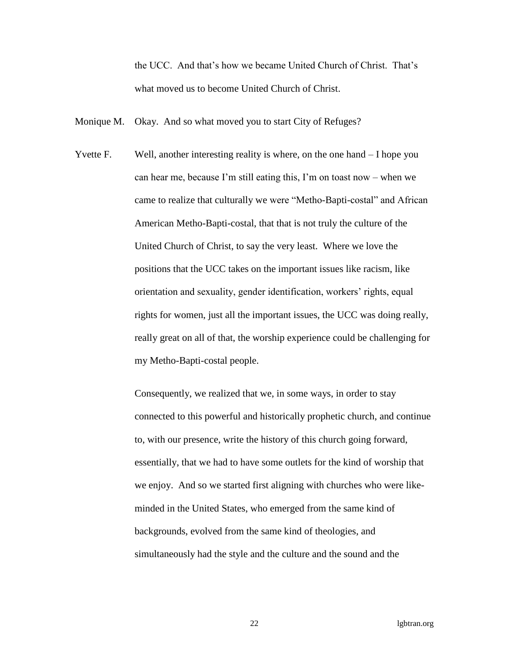the UCC. And that's how we became United Church of Christ. That's what moved us to become United Church of Christ.

- Monique M. Okay. And so what moved you to start City of Refuges?
- Yvette F. Well, another interesting reality is where, on the one hand I hope you can hear me, because I'm still eating this, I'm on toast now – when we came to realize that culturally we were "Metho-Bapti-costal" and African American Metho-Bapti-costal, that that is not truly the culture of the United Church of Christ, to say the very least. Where we love the positions that the UCC takes on the important issues like racism, like orientation and sexuality, gender identification, workers' rights, equal rights for women, just all the important issues, the UCC was doing really, really great on all of that, the worship experience could be challenging for my Metho-Bapti-costal people.

Consequently, we realized that we, in some ways, in order to stay connected to this powerful and historically prophetic church, and continue to, with our presence, write the history of this church going forward, essentially, that we had to have some outlets for the kind of worship that we enjoy. And so we started first aligning with churches who were likeminded in the United States, who emerged from the same kind of backgrounds, evolved from the same kind of theologies, and simultaneously had the style and the culture and the sound and the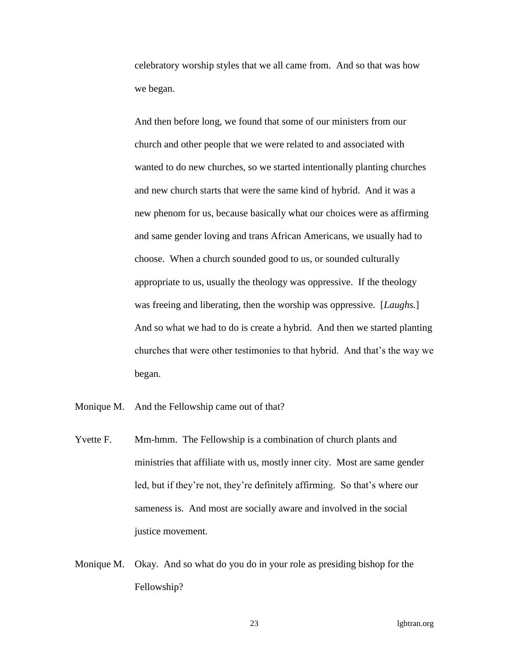celebratory worship styles that we all came from. And so that was how we began.

And then before long, we found that some of our ministers from our church and other people that we were related to and associated with wanted to do new churches, so we started intentionally planting churches and new church starts that were the same kind of hybrid. And it was a new phenom for us, because basically what our choices were as affirming and same gender loving and trans African Americans, we usually had to choose. When a church sounded good to us, or sounded culturally appropriate to us, usually the theology was oppressive. If the theology was freeing and liberating, then the worship was oppressive. [*Laughs.*] And so what we had to do is create a hybrid. And then we started planting churches that were other testimonies to that hybrid. And that's the way we began.

Monique M. And the Fellowship came out of that?

- Yvette F. Mm-hmm. The Fellowship is a combination of church plants and ministries that affiliate with us, mostly inner city. Most are same gender led, but if they're not, they're definitely affirming. So that's where our sameness is. And most are socially aware and involved in the social justice movement.
- Monique M. Okay. And so what do you do in your role as presiding bishop for the Fellowship?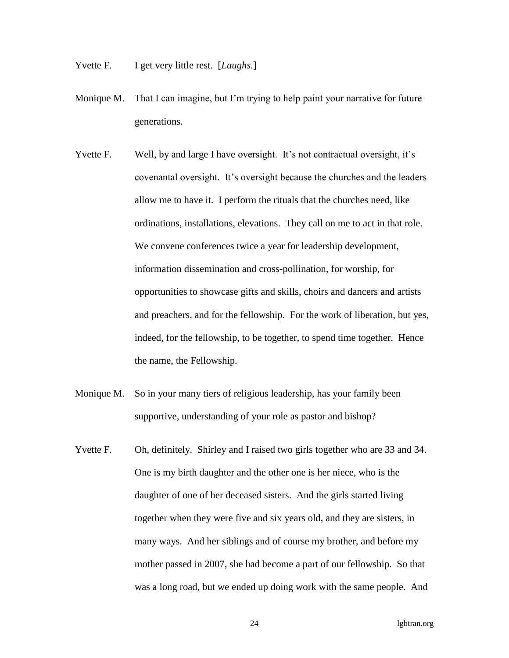- Yvette F. I get very little rest. [*Laughs*.]
- Monique M. That I can imagine, but I'm trying to help paint your narrative for future generations.
- Yvette F. Well, by and large I have oversight. It's not contractual oversight, it's covenantal oversight. It's oversight because the churches and the leaders allow me to have it. I perform the rituals that the churches need, like ordinations, installations, elevations. They call on me to act in that role. We convene conferences twice a year for leadership development, information dissemination and cross-pollination, for worship, for opportunities to showcase gifts and skills, choirs and dancers and artists and preachers, and for the fellowship. For the work of liberation, but yes, indeed, for the fellowship, to be together, to spend time together. Hence the name, the Fellowship.
- Monique M. So in your many tiers of religious leadership, has your family been supportive, understanding of your role as pastor and bishop?
- Yvette F. Oh, definitely. Shirley and I raised two girls together who are 33 and 34. One is my birth daughter and the other one is her niece, who is the daughter of one of her deceased sisters. And the girls started living together when they were five and six years old, and they are sisters, in many ways. And her siblings and of course my brother, and before my mother passed in 2007, she had become a part of our fellowship. So that was a long road, but we ended up doing work with the same people. And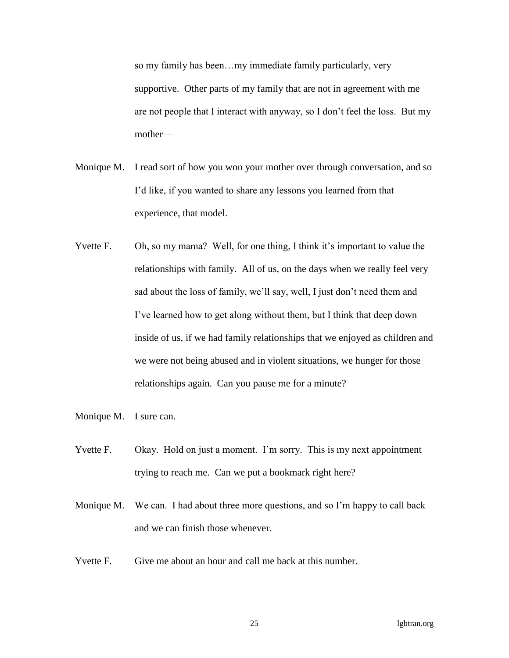so my family has been…my immediate family particularly, very supportive. Other parts of my family that are not in agreement with me are not people that I interact with anyway, so I don't feel the loss. But my mother—

- Monique M. I read sort of how you won your mother over through conversation, and so I'd like, if you wanted to share any lessons you learned from that experience, that model.
- Yvette F. Oh, so my mama? Well, for one thing, I think it's important to value the relationships with family. All of us, on the days when we really feel very sad about the loss of family, we'll say, well, I just don't need them and I've learned how to get along without them, but I think that deep down inside of us, if we had family relationships that we enjoyed as children and we were not being abused and in violent situations, we hunger for those relationships again. Can you pause me for a minute?
- Monique M. I sure can.
- Yvette F. Okay. Hold on just a moment. I'm sorry. This is my next appointment trying to reach me. Can we put a bookmark right here?
- Monique M. We can. I had about three more questions, and so I'm happy to call back and we can finish those whenever.
- Yvette F. Give me about an hour and call me back at this number.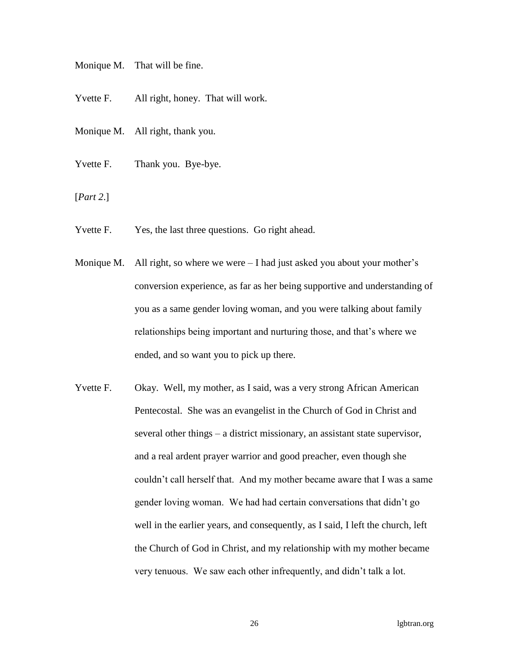Monique M. That will be fine.

Yvette F. All right, honey. That will work.

Monique M. All right, thank you.

Yvette F. Thank you. Bye-bye.

[*Part 2*.]

Yvette F. Yes, the last three questions. Go right ahead.

- Monique M. All right, so where we were  $-I$  had just asked you about your mother's conversion experience, as far as her being supportive and understanding of you as a same gender loving woman, and you were talking about family relationships being important and nurturing those, and that's where we ended, and so want you to pick up there.
- Yvette F. Okay. Well, my mother, as I said, was a very strong African American Pentecostal. She was an evangelist in the Church of God in Christ and several other things – a district missionary, an assistant state supervisor, and a real ardent prayer warrior and good preacher, even though she couldn't call herself that. And my mother became aware that I was a same gender loving woman. We had had certain conversations that didn't go well in the earlier years, and consequently, as I said, I left the church, left the Church of God in Christ, and my relationship with my mother became very tenuous. We saw each other infrequently, and didn't talk a lot.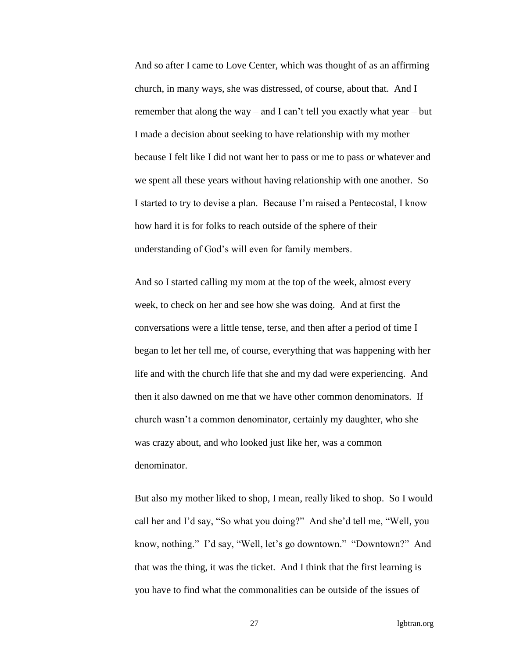And so after I came to Love Center, which was thought of as an affirming church, in many ways, she was distressed, of course, about that. And I remember that along the way – and I can't tell you exactly what year – but I made a decision about seeking to have relationship with my mother because I felt like I did not want her to pass or me to pass or whatever and we spent all these years without having relationship with one another. So I started to try to devise a plan. Because I'm raised a Pentecostal, I know how hard it is for folks to reach outside of the sphere of their understanding of God's will even for family members.

And so I started calling my mom at the top of the week, almost every week, to check on her and see how she was doing. And at first the conversations were a little tense, terse, and then after a period of time I began to let her tell me, of course, everything that was happening with her life and with the church life that she and my dad were experiencing. And then it also dawned on me that we have other common denominators. If church wasn't a common denominator, certainly my daughter, who she was crazy about, and who looked just like her, was a common denominator.

But also my mother liked to shop, I mean, really liked to shop. So I would call her and I'd say, "So what you doing?" And she'd tell me, "Well, you know, nothing." I'd say, "Well, let's go downtown." "Downtown?" And that was the thing, it was the ticket. And I think that the first learning is you have to find what the commonalities can be outside of the issues of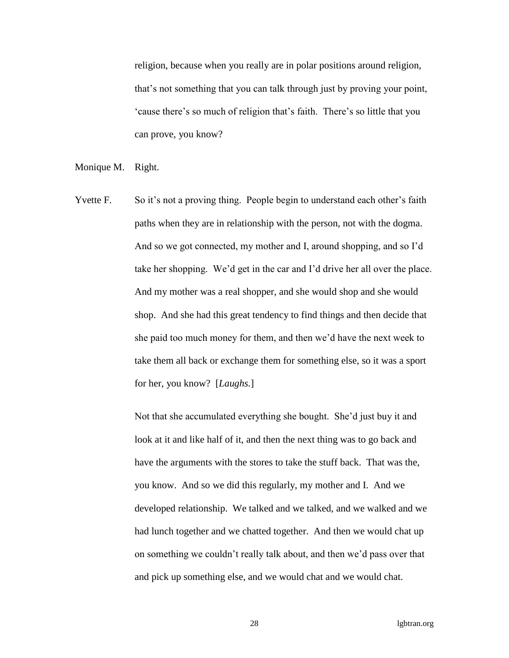religion, because when you really are in polar positions around religion, that's not something that you can talk through just by proving your point, 'cause there's so much of religion that's faith. There's so little that you can prove, you know?

Monique M. Right.

Yvette F. So it's not a proving thing. People begin to understand each other's faith paths when they are in relationship with the person, not with the dogma. And so we got connected, my mother and I, around shopping, and so I'd take her shopping. We'd get in the car and I'd drive her all over the place. And my mother was a real shopper, and she would shop and she would shop. And she had this great tendency to find things and then decide that she paid too much money for them, and then we'd have the next week to take them all back or exchange them for something else, so it was a sport for her, you know? [*Laughs.*]

> Not that she accumulated everything she bought. She'd just buy it and look at it and like half of it, and then the next thing was to go back and have the arguments with the stores to take the stuff back. That was the, you know. And so we did this regularly, my mother and I. And we developed relationship. We talked and we talked, and we walked and we had lunch together and we chatted together. And then we would chat up on something we couldn't really talk about, and then we'd pass over that and pick up something else, and we would chat and we would chat.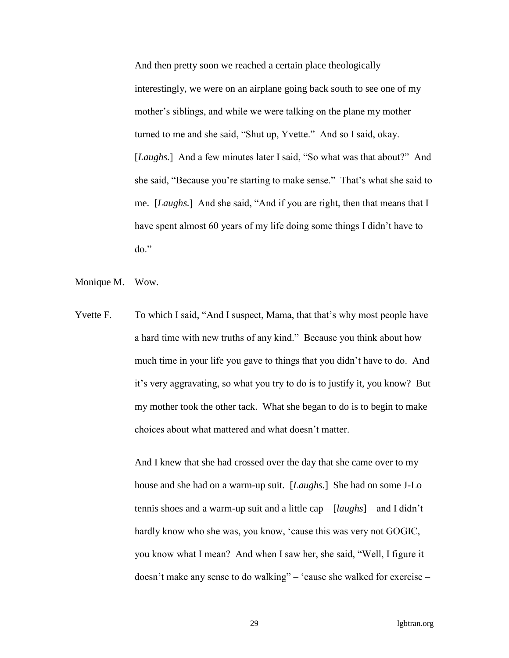And then pretty soon we reached a certain place theologically – interestingly, we were on an airplane going back south to see one of my mother's siblings, and while we were talking on the plane my mother turned to me and she said, "Shut up, Yvette." And so I said, okay. [*Laughs.*] And a few minutes later I said, "So what was that about?" And she said, "Because you're starting to make sense." That's what she said to me. [*Laughs.*] And she said, "And if you are right, then that means that I have spent almost 60 years of my life doing some things I didn't have to do."

- Monique M. Wow.
- Yvette F. To which I said, "And I suspect, Mama, that that's why most people have a hard time with new truths of any kind." Because you think about how much time in your life you gave to things that you didn't have to do. And it's very aggravating, so what you try to do is to justify it, you know? But my mother took the other tack. What she began to do is to begin to make choices about what mattered and what doesn't matter.

And I knew that she had crossed over the day that she came over to my house and she had on a warm-up suit. [*Laughs.*] She had on some J-Lo tennis shoes and a warm-up suit and a little cap – [*laughs*] – and I didn't hardly know who she was, you know, 'cause this was very not GOGIC, you know what I mean? And when I saw her, she said, "Well, I figure it doesn't make any sense to do walking" – 'cause she walked for exercise –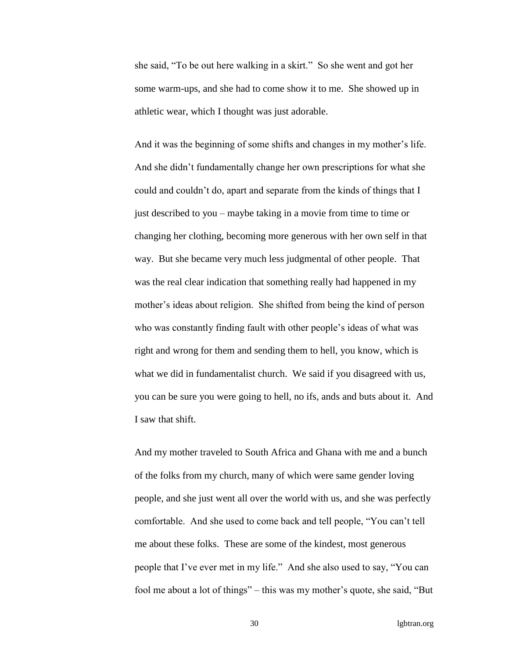she said, "To be out here walking in a skirt." So she went and got her some warm-ups, and she had to come show it to me. She showed up in athletic wear, which I thought was just adorable.

And it was the beginning of some shifts and changes in my mother's life. And she didn't fundamentally change her own prescriptions for what she could and couldn't do, apart and separate from the kinds of things that I just described to you – maybe taking in a movie from time to time or changing her clothing, becoming more generous with her own self in that way. But she became very much less judgmental of other people. That was the real clear indication that something really had happened in my mother's ideas about religion. She shifted from being the kind of person who was constantly finding fault with other people's ideas of what was right and wrong for them and sending them to hell, you know, which is what we did in fundamentalist church. We said if you disagreed with us, you can be sure you were going to hell, no ifs, ands and buts about it. And I saw that shift.

And my mother traveled to South Africa and Ghana with me and a bunch of the folks from my church, many of which were same gender loving people, and she just went all over the world with us, and she was perfectly comfortable. And she used to come back and tell people, "You can't tell me about these folks. These are some of the kindest, most generous people that I've ever met in my life." And she also used to say, "You can fool me about a lot of things" – this was my mother's quote, she said, "But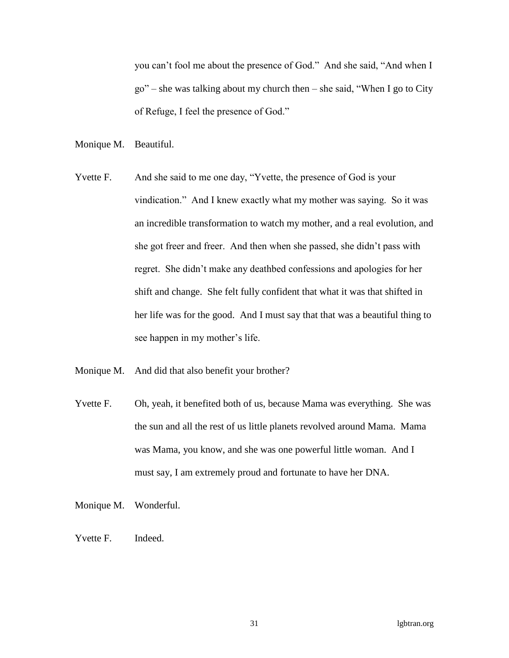you can't fool me about the presence of God." And she said, "And when I go" – she was talking about my church then – she said, "When I go to City of Refuge, I feel the presence of God."

Monique M. Beautiful.

- Yvette F. And she said to me one day, "Yvette, the presence of God is your vindication." And I knew exactly what my mother was saying. So it was an incredible transformation to watch my mother, and a real evolution, and she got freer and freer. And then when she passed, she didn't pass with regret. She didn't make any deathbed confessions and apologies for her shift and change. She felt fully confident that what it was that shifted in her life was for the good. And I must say that that was a beautiful thing to see happen in my mother's life.
- Monique M. And did that also benefit your brother?
- Yvette F. Oh, yeah, it benefited both of us, because Mama was everything. She was the sun and all the rest of us little planets revolved around Mama. Mama was Mama, you know, and she was one powerful little woman. And I must say, I am extremely proud and fortunate to have her DNA.
- Monique M. Wonderful.
- Yvette F. Indeed.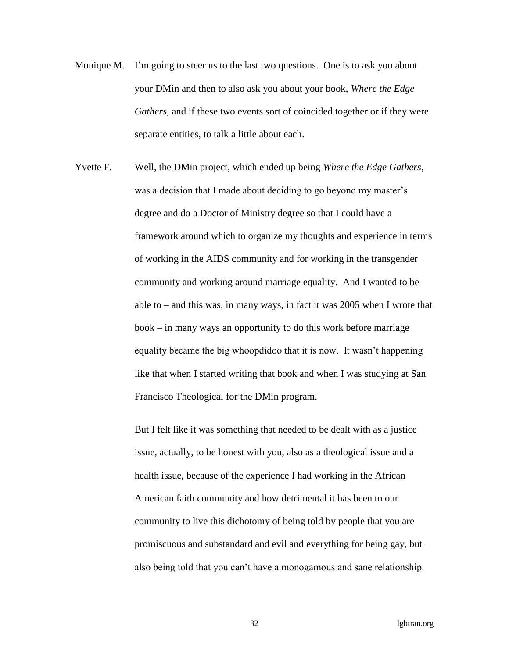- Monique M. I'm going to steer us to the last two questions. One is to ask you about your DMin and then to also ask you about your book, *Where the Edge Gathers*, and if these two events sort of coincided together or if they were separate entities, to talk a little about each.
- Yvette F. Well, the DMin project, which ended up being *Where the Edge Gathers*, was a decision that I made about deciding to go beyond my master's degree and do a Doctor of Ministry degree so that I could have a framework around which to organize my thoughts and experience in terms of working in the AIDS community and for working in the transgender community and working around marriage equality. And I wanted to be able to – and this was, in many ways, in fact it was 2005 when I wrote that book – in many ways an opportunity to do this work before marriage equality became the big whoopdidoo that it is now. It wasn't happening like that when I started writing that book and when I was studying at San Francisco Theological for the DMin program.

But I felt like it was something that needed to be dealt with as a justice issue, actually, to be honest with you, also as a theological issue and a health issue, because of the experience I had working in the African American faith community and how detrimental it has been to our community to live this dichotomy of being told by people that you are promiscuous and substandard and evil and everything for being gay, but also being told that you can't have a monogamous and sane relationship.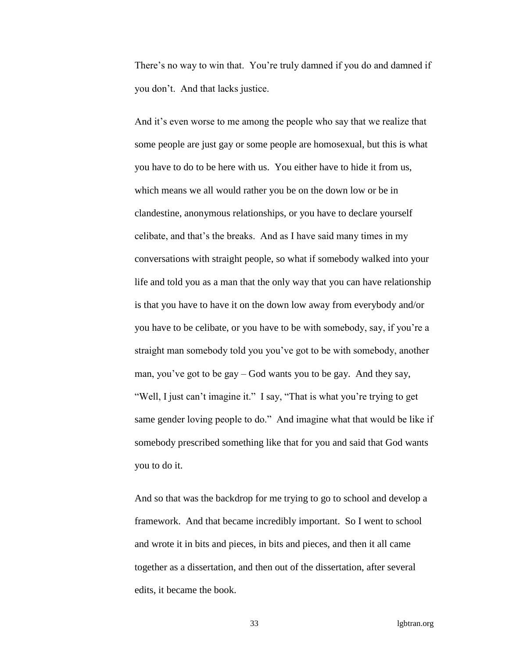There's no way to win that. You're truly damned if you do and damned if you don't. And that lacks justice.

And it's even worse to me among the people who say that we realize that some people are just gay or some people are homosexual, but this is what you have to do to be here with us. You either have to hide it from us, which means we all would rather you be on the down low or be in clandestine, anonymous relationships, or you have to declare yourself celibate, and that's the breaks. And as I have said many times in my conversations with straight people, so what if somebody walked into your life and told you as a man that the only way that you can have relationship is that you have to have it on the down low away from everybody and/or you have to be celibate, or you have to be with somebody, say, if you're a straight man somebody told you you've got to be with somebody, another man, you've got to be gay – God wants you to be gay. And they say, "Well, I just can't imagine it." I say, "That is what you're trying to get same gender loving people to do." And imagine what that would be like if somebody prescribed something like that for you and said that God wants you to do it.

And so that was the backdrop for me trying to go to school and develop a framework. And that became incredibly important. So I went to school and wrote it in bits and pieces, in bits and pieces, and then it all came together as a dissertation, and then out of the dissertation, after several edits, it became the book.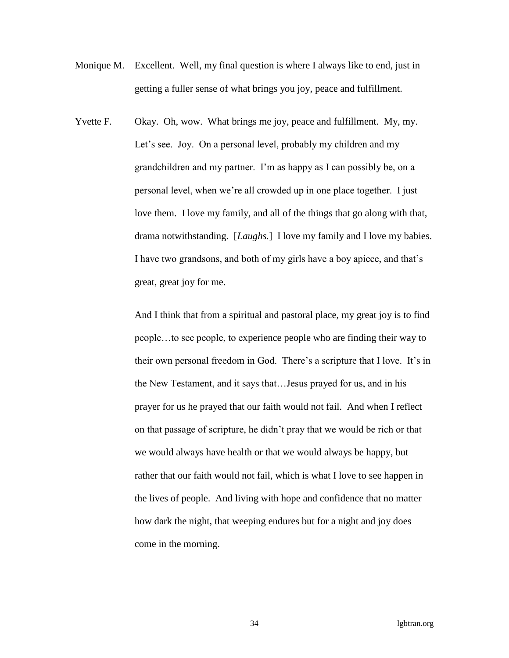- Monique M. Excellent. Well, my final question is where I always like to end, just in getting a fuller sense of what brings you joy, peace and fulfillment.
- Yvette F. Okay. Oh, wow. What brings me joy, peace and fulfillment. My, my. Let's see. Joy. On a personal level, probably my children and my grandchildren and my partner. I'm as happy as I can possibly be, on a personal level, when we're all crowded up in one place together. I just love them. I love my family, and all of the things that go along with that, drama notwithstanding. [*Laughs.*] I love my family and I love my babies. I have two grandsons, and both of my girls have a boy apiece, and that's great, great joy for me.

And I think that from a spiritual and pastoral place, my great joy is to find people…to see people, to experience people who are finding their way to their own personal freedom in God. There's a scripture that I love. It's in the New Testament, and it says that…Jesus prayed for us, and in his prayer for us he prayed that our faith would not fail. And when I reflect on that passage of scripture, he didn't pray that we would be rich or that we would always have health or that we would always be happy, but rather that our faith would not fail, which is what I love to see happen in the lives of people. And living with hope and confidence that no matter how dark the night, that weeping endures but for a night and joy does come in the morning.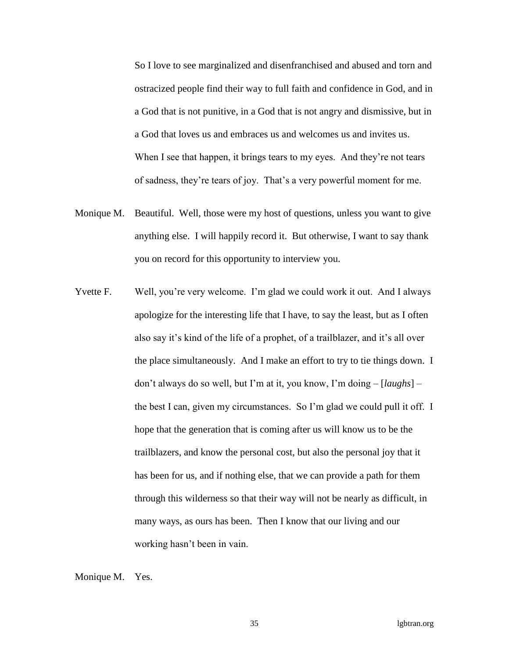So I love to see marginalized and disenfranchised and abused and torn and ostracized people find their way to full faith and confidence in God, and in a God that is not punitive, in a God that is not angry and dismissive, but in a God that loves us and embraces us and welcomes us and invites us. When I see that happen, it brings tears to my eyes. And they're not tears of sadness, they're tears of joy. That's a very powerful moment for me.

- Monique M. Beautiful. Well, those were my host of questions, unless you want to give anything else. I will happily record it. But otherwise, I want to say thank you on record for this opportunity to interview you.
- Yvette F. Well, you're very welcome. I'm glad we could work it out. And I always apologize for the interesting life that I have, to say the least, but as I often also say it's kind of the life of a prophet, of a trailblazer, and it's all over the place simultaneously. And I make an effort to try to tie things down. I don't always do so well, but I'm at it, you know, I'm doing – [*laughs*] – the best I can, given my circumstances. So I'm glad we could pull it off. I hope that the generation that is coming after us will know us to be the trailblazers, and know the personal cost, but also the personal joy that it has been for us, and if nothing else, that we can provide a path for them through this wilderness so that their way will not be nearly as difficult, in many ways, as ours has been. Then I know that our living and our working hasn't been in vain.

Monique M. Yes.